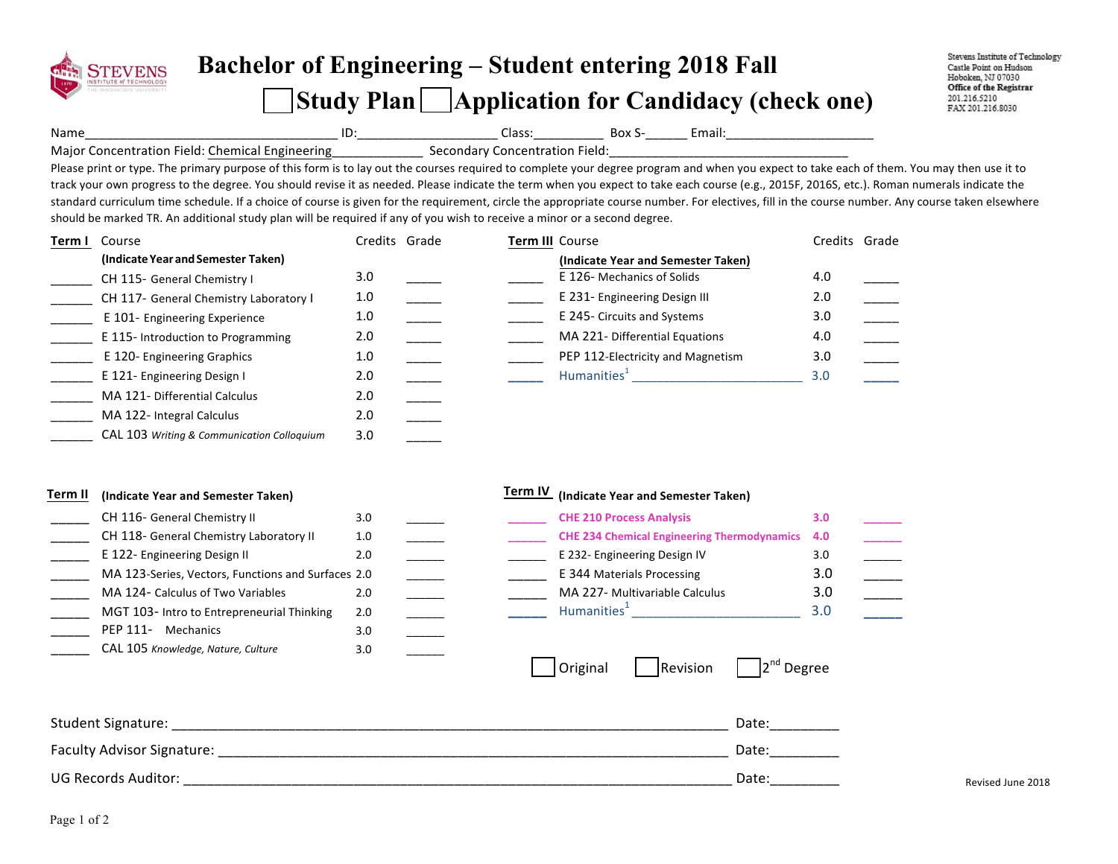

## **Bachelor of Engineering – Student entering 2018 Fall Study Plan Application for Candidacy (check one)**

Stevens Institute of Technology Castle Point on Hudson Hoboken, NJ 07030 Office of the Registrar 201.216.5210 FAX 201.216.8030

Name\_\_\_\_\_\_\_\_\_\_\_\_\_\_\_\_\_\_\_\_\_\_\_\_\_\_\_\_\_\_\_\_\_\_\_\_ ID:\_\_\_\_\_\_\_\_\_\_\_\_\_\_\_\_\_\_\_\_ Class:\_\_\_\_\_\_\_\_\_\_ Box S-\_\_\_\_\_\_ Email:\_\_\_\_\_\_\_\_\_\_\_\_\_\_\_\_\_\_\_\_\_

Major Concentration Field: Chemical Engineering \_\_\_\_\_\_\_\_\_\_\_\_\_\_\_ Secondary Concentration Field:

Please print or type. The primary purpose of this form is to lay out the courses required to complete your degree program and when you expect to take each of them. You may then use it to track your own progress to the degree. You should revise it as needed. Please indicate the term when you expect to take each course (e.g., 2015F, 2016S, etc.). Roman numerals indicate the standard curriculum time schedule. If a choice of course is given for the requirement, circle the appropriate course number. For electives, fill in the course number. Any course taken elsewhere should be marked TR. An additional study plan will be required if any of you wish to receive a minor or a second degree.

| Term I | Course                                     | Credits Grade |  | Term III Course                    | Credits Grade |  |
|--------|--------------------------------------------|---------------|--|------------------------------------|---------------|--|
|        | (Indicate Year and Semester Taken)         |               |  | (Indicate Year and Semester Taken) |               |  |
|        | CH 115- General Chemistry I                | 3.0           |  | E 126- Mechanics of Solids         | 4.0           |  |
|        | CH 117- General Chemistry Laboratory I     | 1.0           |  | E 231- Engineering Design III      | 2.0           |  |
|        | E 101- Engineering Experience              | 1.0           |  | E 245- Circuits and Systems        | 3.0           |  |
|        | E 115-Introduction to Programming          | 2.0           |  | MA 221- Differential Equations     | 4.0           |  |
|        | E 120- Engineering Graphics                | 1.0           |  | PEP 112-Electricity and Magnetism  | 3.0           |  |
|        | E 121- Engineering Design I                | 2.0           |  | Humanities <sup>1</sup>            | 3.0           |  |
|        | MA 121- Differential Calculus              | 2.0           |  |                                    |               |  |
|        | MA 122- Integral Calculus                  | 2.0           |  |                                    |               |  |
|        | CAL 103 Writing & Communication Colloquium | 3.0           |  |                                    |               |  |

| Term II<br>(Indicate Year and Semester Taken) |                                                    |     | Term IV<br>(Indicate Year and Semester Taken) |  |                                                    |     |  |  |
|-----------------------------------------------|----------------------------------------------------|-----|-----------------------------------------------|--|----------------------------------------------------|-----|--|--|
|                                               | CH 116- General Chemistry II                       | 3.0 |                                               |  | <b>CHE 210 Process Analysis</b>                    | 3.0 |  |  |
|                                               | CH 118- General Chemistry Laboratory II            | 1.0 |                                               |  | <b>CHE 234 Chemical Engineering Thermodynamics</b> | 4.0 |  |  |
|                                               | E 122- Engineering Design II                       | 2.0 |                                               |  | E 232- Engineering Design IV                       | 3.0 |  |  |
|                                               | MA 123-Series, Vectors, Functions and Surfaces 2.0 |     |                                               |  | E 344 Materials Processing                         | 3.0 |  |  |
|                                               | MA 124- Calculus of Two Variables                  | 2.0 |                                               |  | MA 227- Multivariable Calculus                     | 3.0 |  |  |
|                                               | MGT 103- Intro to Entrepreneurial Thinking         | 2.0 |                                               |  | Humanities <sup>+</sup>                            | 3.0 |  |  |
|                                               | PEP 111-<br>Mechanics                              | 3.0 |                                               |  |                                                    |     |  |  |

| Original | Revision | $2nd$ Degree |
|----------|----------|--------------|
|----------|----------|--------------|

| Student Signature:         | Date                           |                   |
|----------------------------|--------------------------------|-------------------|
| Faculty Advisor Signature: | Date                           |                   |
| UG Records Auditor:        | Date <sup>®</sup><br>_________ | Revised June 2018 |

3.0 \_\_\_\_\_\_

\_\_\_\_\_ CAL 105 *Knowledge, Nature, Culture*